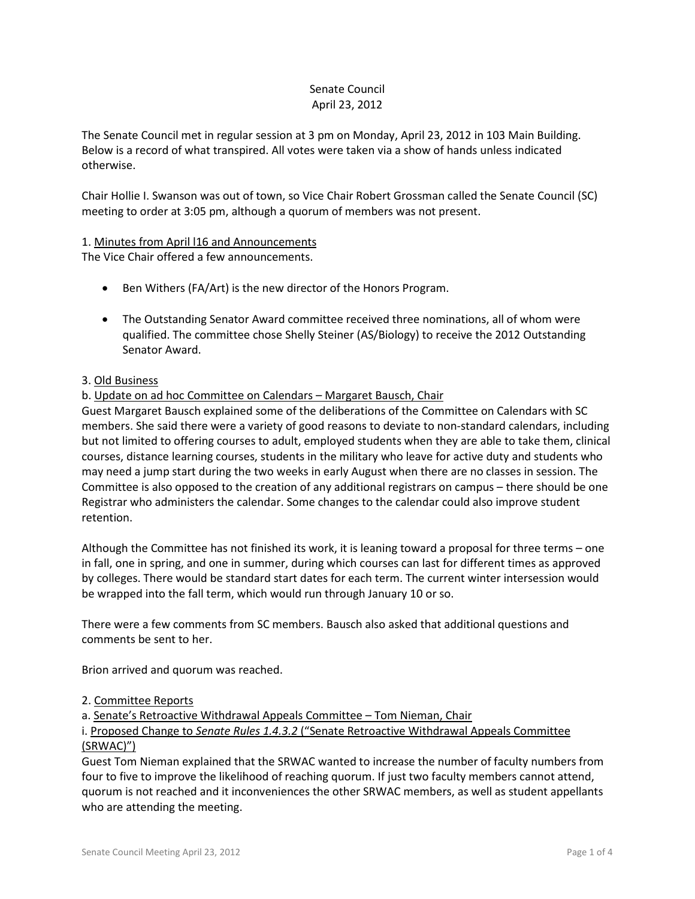## Senate Council April 23, 2012

The Senate Council met in regular session at 3 pm on Monday, April 23, 2012 in 103 Main Building. Below is a record of what transpired. All votes were taken via a show of hands unless indicated otherwise.

Chair Hollie I. Swanson was out of town, so Vice Chair Robert Grossman called the Senate Council (SC) meeting to order at 3:05 pm, although a quorum of members was not present.

# 1. Minutes from April l16 and Announcements

The Vice Chair offered a few announcements.

- Ben Withers (FA/Art) is the new director of the Honors Program.
- The Outstanding Senator Award committee received three nominations, all of whom were qualified. The committee chose Shelly Steiner (AS/Biology) to receive the 2012 Outstanding Senator Award.

## 3. Old Business

## b. Update on ad hoc Committee on Calendars – Margaret Bausch, Chair

Guest Margaret Bausch explained some of the deliberations of the Committee on Calendars with SC members. She said there were a variety of good reasons to deviate to non-standard calendars, including but not limited to offering courses to adult, employed students when they are able to take them, clinical courses, distance learning courses, students in the military who leave for active duty and students who may need a jump start during the two weeks in early August when there are no classes in session. The Committee is also opposed to the creation of any additional registrars on campus – there should be one Registrar who administers the calendar. Some changes to the calendar could also improve student retention.

Although the Committee has not finished its work, it is leaning toward a proposal for three terms – one in fall, one in spring, and one in summer, during which courses can last for different times as approved by colleges. There would be standard start dates for each term. The current winter intersession would be wrapped into the fall term, which would run through January 10 or so.

There were a few comments from SC members. Bausch also asked that additional questions and comments be sent to her.

Brion arrived and quorum was reached.

## 2. Committee Reports

a. Senate's Retroactive Withdrawal Appeals Committee – Tom Nieman, Chair

i. Proposed Change to *Senate Rules 1.4.3.2* ("Senate Retroactive Withdrawal Appeals Committee (SRWAC)")

Guest Tom Nieman explained that the SRWAC wanted to increase the number of faculty numbers from four to five to improve the likelihood of reaching quorum. If just two faculty members cannot attend, quorum is not reached and it inconveniences the other SRWAC members, as well as student appellants who are attending the meeting.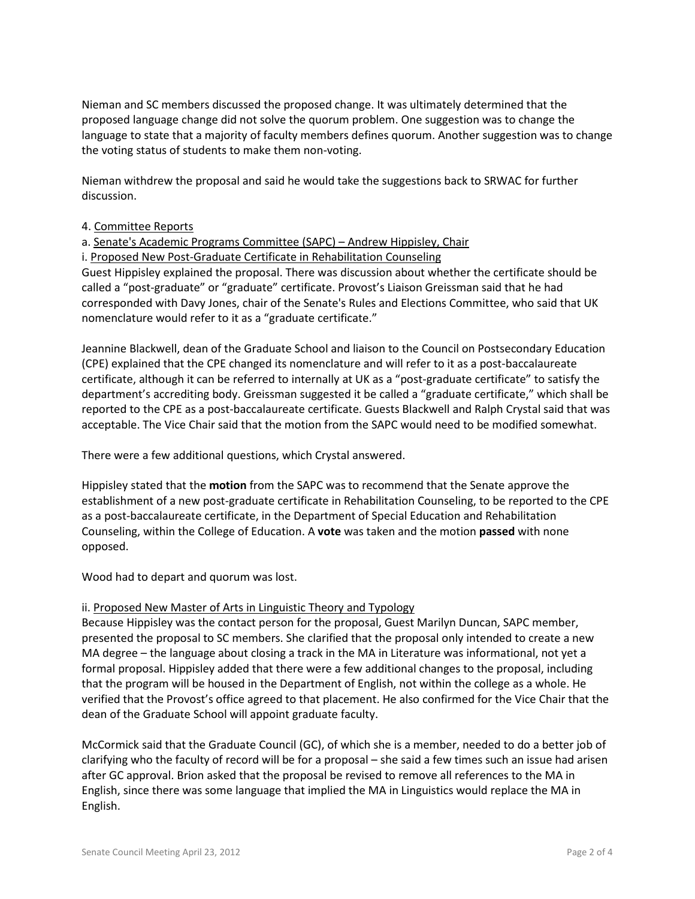Nieman and SC members discussed the proposed change. It was ultimately determined that the proposed language change did not solve the quorum problem. One suggestion was to change the language to state that a majority of faculty members defines quorum. Another suggestion was to change the voting status of students to make them non-voting.

Nieman withdrew the proposal and said he would take the suggestions back to SRWAC for further discussion.

## 4. Committee Reports

a. Senate's Academic Programs Committee (SAPC) – Andrew Hippisley, Chair

i. Proposed New Post-Graduate Certificate in Rehabilitation Counseling

Guest Hippisley explained the proposal. There was discussion about whether the certificate should be called a "post-graduate" or "graduate" certificate. Provost's Liaison Greissman said that he had corresponded with Davy Jones, chair of the Senate's Rules and Elections Committee, who said that UK nomenclature would refer to it as a "graduate certificate."

Jeannine Blackwell, dean of the Graduate School and liaison to the Council on Postsecondary Education (CPE) explained that the CPE changed its nomenclature and will refer to it as a post-baccalaureate certificate, although it can be referred to internally at UK as a "post-graduate certificate" to satisfy the department's accrediting body. Greissman suggested it be called a "graduate certificate," which shall be reported to the CPE as a post-baccalaureate certificate. Guests Blackwell and Ralph Crystal said that was acceptable. The Vice Chair said that the motion from the SAPC would need to be modified somewhat.

There were a few additional questions, which Crystal answered.

Hippisley stated that the **motion** from the SAPC was to recommend that the Senate approve the establishment of a new post-graduate certificate in Rehabilitation Counseling, to be reported to the CPE as a post-baccalaureate certificate, in the Department of Special Education and Rehabilitation Counseling, within the College of Education. A **vote** was taken and the motion **passed** with none opposed.

Wood had to depart and quorum was lost.

#### ii. Proposed New Master of Arts in Linguistic Theory and Typology

Because Hippisley was the contact person for the proposal, Guest Marilyn Duncan, SAPC member, presented the proposal to SC members. She clarified that the proposal only intended to create a new MA degree – the language about closing a track in the MA in Literature was informational, not yet a formal proposal. Hippisley added that there were a few additional changes to the proposal, including that the program will be housed in the Department of English, not within the college as a whole. He verified that the Provost's office agreed to that placement. He also confirmed for the Vice Chair that the dean of the Graduate School will appoint graduate faculty.

McCormick said that the Graduate Council (GC), of which she is a member, needed to do a better job of clarifying who the faculty of record will be for a proposal – she said a few times such an issue had arisen after GC approval. Brion asked that the proposal be revised to remove all references to the MA in English, since there was some language that implied the MA in Linguistics would replace the MA in English.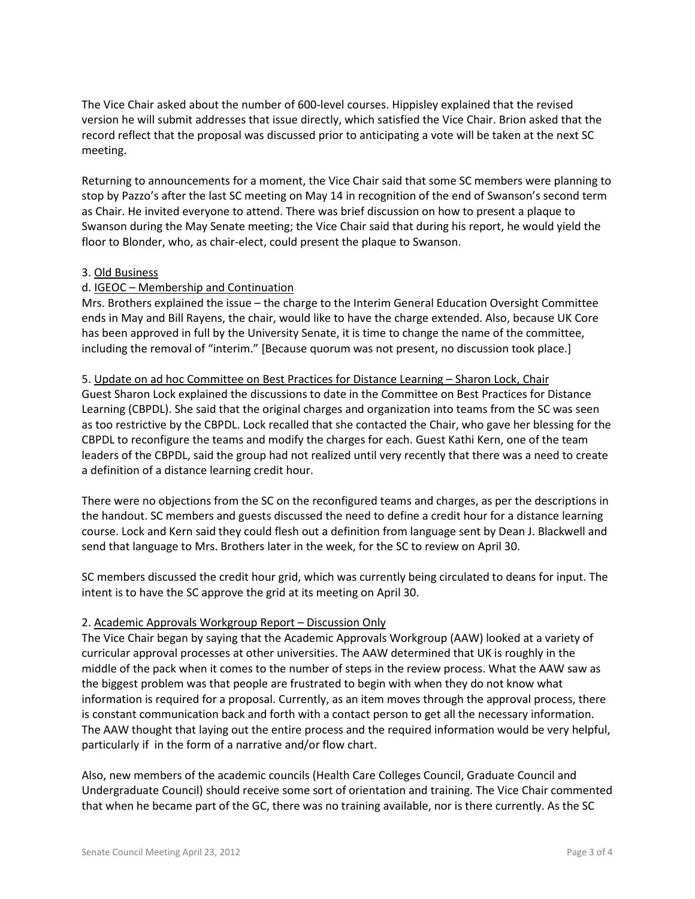The Vice Chair asked about the number of 600-level courses. Hippisley explained that the revised version he will submit addresses that issue directly, which satisfied the Vice Chair. Brion asked that the record reflect that the proposal was discussed prior to anticipating a vote will be taken at the next SC meeting.

Returning to announcements for a moment, the Vice Chair said that some SC members were planning to stop by Pazzo's after the last SC meeting on May 14 in recognition of the end of Swanson's second term as Chair. He invited everyone to attend. There was brief discussion on how to present a plaque to Swanson during the May Senate meeting; the Vice Chair said that during his report, he would yield the floor to Blonder, who, as chair-elect, could present the plaque to Swanson.

### 3. Old Business

## d. IGEOC – Membership and Continuation

Mrs. Brothers explained the issue – the charge to the Interim General Education Oversight Committee ends in May and Bill Rayens, the chair, would like to have the charge extended. Also, because UK Core has been approved in full by the University Senate, it is time to change the name of the committee, including the removal of "interim." [Because quorum was not present, no discussion took place.]

#### 5. Update on ad hoc Committee on Best Practices for Distance Learning - Sharon Lock, Chair

Guest Sharon Lock explained the discussions to date in the Committee on Best Practices for Distance Learning (CBPDL). She said that the original charges and organization into teams from the SC was seen as too restrictive by the CBPDL. Lock recalled that she contacted the Chair, who gave her blessing for the CBPDL to reconfigure the teams and modify the charges for each. Guest Kathi Kern, one of the team leaders of the CBPDL, said the group had not realized until very recently that there was a need to create a definition of a distance learning credit hour.

There were no objections from the SC on the reconfigured teams and charges, as per the descriptions in the handout. SC members and guests discussed the need to define a credit hour for a distance learning course. Lock and Kern said they could flesh out a definition from language sent by Dean J. Blackwell and send that language to Mrs. Brothers later in the week, for the SC to review on April 30.

SC members discussed the credit hour grid, which was currently being circulated to deans for input. The intent is to have the SC approve the grid at its meeting on April 30.

#### 2. Academic Approvals Workgroup Report – Discussion Only

The Vice Chair began by saying that the Academic Approvals Workgroup (AAW) looked at a variety of curricular approval processes at other universities. The AAW determined that UK is roughly in the middle of the pack when it comes to the number of steps in the review process. What the AAW saw as the biggest problem was that people are frustrated to begin with when they do not know what information is required for a proposal. Currently, as an item moves through the approval process, there is constant communication back and forth with a contact person to get all the necessary information. The AAW thought that laying out the entire process and the required information would be very helpful, particularly if in the form of a narrative and/or flow chart.

Also, new members of the academic councils (Health Care Colleges Council, Graduate Council and Undergraduate Council) should receive some sort of orientation and training. The Vice Chair commented that when he became part of the GC, there was no training available, nor is there currently. As the SC